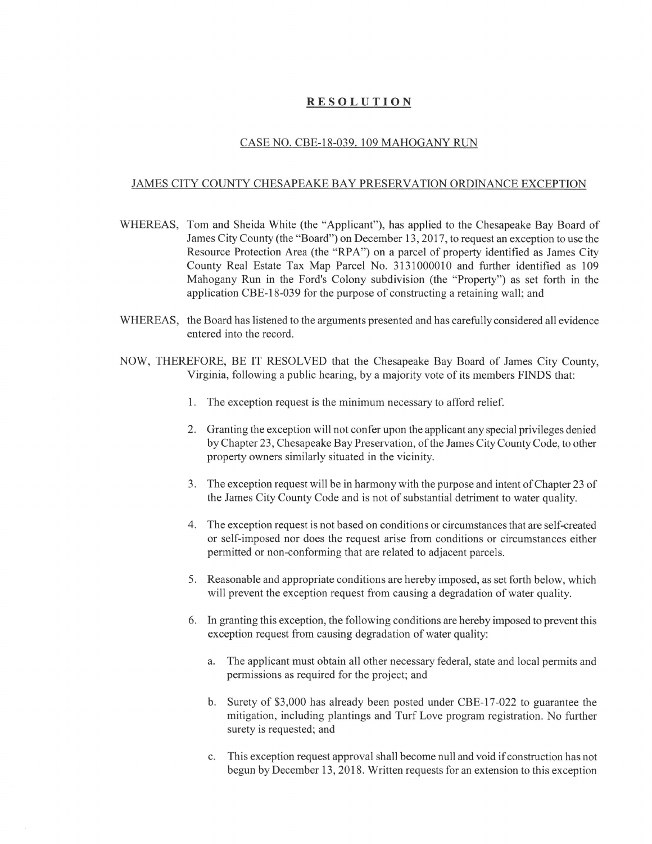## RESOLUTION

## CASE NO. CBE-18-039. 109 MAHOGANY RUN

## JAMES CITY COUNTY CHESAPEAKE BAY PRESERVATION ORDINANCE EXCEPTION

- WHEREAS, Tom and Sheida White (the "Applicant"), has applied to the Chesapeake Bay Board of James City County (the "Board") on December 13, 2017, to request an exception to use the Resource Protection Area (the "RPA") on a parcel of property identified as James City County Real Estate Tax Map Parcel No. 3131000010 and further identified as 109 Mahogany Run in the Ford's Colony subdivision (the "Property") as set forth in the application CBE-18-039 for the purpose of constructing a retaining wall; and
- WHEREAS, the Board has listened to the arguments presented and has carefully considered all evidence entered into the record.
- NOW, THEREFORE, BE IT RESOLVED that the Chesapeake Bay Board of James City County, Virginia, following a public hearing, by a majority vote of its members FINDS that:
	- 1. The exception request is the minimum necessary to afford relief.
	- 2. Granting the exception will not confer upon the applicant any special privileges denied by Chapter 23, Chesapeake Bay Preservation, of the James City County Code, to other property owners similarly situated in the vicinity.
	- 3. The exception request will be in harmony with the purpose and intent of Chapter 23 of the James City County Code and is not of substantial detriment to water quality.
	- 4. The exception request is not based on conditions or circumstances that are self-created or self-imposed nor does the request arise from conditions or circumstances either permitted or non-conforming that are related to adjacent parcels.
	- 5. Reasonable and appropriate conditions are hereby imposed, as set forth below, which will prevent the exception request from causing a degradation of water quality.
	- 6. In granting this exception, the following conditions are hereby imposed to prevent this exception request from causing degradation of water quality:
		- a. The applicant must obtain all other necessary federal, state and local permits and permissions as required for the project; and
		- b. Surety of \$3,000 has already been posted under CBE-17-022 to guarantee the mitigation, including plantings and Turf Love program registration. No further surety is requested; and
		- c. This exception request approval shall become null and void if construction has not begun by December 13, 2018. Written requests for an extension to this exception